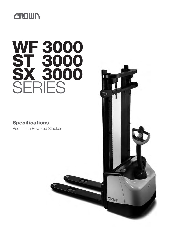

# **WF 3000 ST 3000 SX 3000 SERIES**

# **Specifications**

Pedestrian Powered Stacker



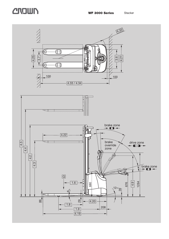

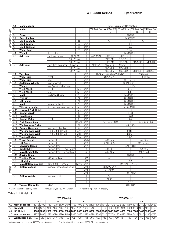WF 3000 Series Specifications

|                     | 1.1          | <b>Manufacturer</b>                                 |                                  |                 |          |                          |                              | Crown Equipment Corporation |                          |                          |  |  |  |  |  |
|---------------------|--------------|-----------------------------------------------------|----------------------------------|-----------------|----------|--------------------------|------------------------------|-----------------------------|--------------------------|--------------------------|--|--|--|--|--|
|                     | 1.2          | <b>Model</b>                                        |                                  |                 |          | WF3000-1.0               | WF3000-1.0                   | WF3000-1.0                  | WF3000-1.2 WF3000-1.2    |                          |  |  |  |  |  |
|                     |              |                                                     |                                  |                 |          | NT                       | TL                           | TF                          | TL                       | TF                       |  |  |  |  |  |
|                     | 1.3          | Power                                               |                                  |                 |          |                          |                              | electric                    |                          |                          |  |  |  |  |  |
|                     | 1.4          | <b>Operator Type</b>                                |                                  |                 |          | pedestrian               |                              |                             |                          |                          |  |  |  |  |  |
|                     | 1.5          | <b>Load Capacity</b>                                |                                  | Q               | t        |                          | 1.0                          |                             | 1.2                      |                          |  |  |  |  |  |
| General Information | 1.6          | <b>Load Centre</b>                                  |                                  | C               | mm       | 600                      |                              |                             |                          |                          |  |  |  |  |  |
|                     | 1.8          | <b>Load Distance</b>                                |                                  | X               | mm       |                          |                              |                             | 698                      |                          |  |  |  |  |  |
|                     | 1.9          | <b>Wheel Base</b>                                   |                                  | V               | mm       |                          |                              | 1182                        |                          |                          |  |  |  |  |  |
|                     | 2.1          | Weight                                              | less battery                     |                 | kg       |                          |                              | see table 1                 |                          |                          |  |  |  |  |  |
|                     | 2.2          | <b>Axle Load</b>                                    | with load front/rear<br>94 Ah MF |                 | kg       | 564/1121                 | 650/1198                     | 659/1195                    |                          | -                        |  |  |  |  |  |
|                     |              |                                                     | 160 Ah Ind.                      |                 | kg       | $\overline{\phantom{a}}$ | 712/1212                     | 721/1209                    | $\overline{\phantom{0}}$ | $\overline{\phantom{0}}$ |  |  |  |  |  |
| Weight              |              |                                                     | 180 Ah Ind.                      |                 | kg       |                          | 732/1216                     | 741/1214                    | 741/1407                 | 751/1404                 |  |  |  |  |  |
|                     | 2.3          | <b>Axle Load</b>                                    | 94 Ah MF<br>w.o. load front/rear |                 | kg       | 494/191                  | 602/246                      | 610/244                     | $\overline{\phantom{0}}$ |                          |  |  |  |  |  |
|                     |              |                                                     | 160 Ah Ind.                      |                 | kg       | -                        | 664/260                      | 672/258                     | $\qquad \qquad -$        |                          |  |  |  |  |  |
|                     |              |                                                     | 180 Ah Ind.                      |                 | kg       | $\overline{\phantom{0}}$ | 683/265                      | 693/262                     | 683/265                  | 693/262                  |  |  |  |  |  |
|                     | 3.1          | <b>Tyre Type</b>                                    |                                  |                 | mm       |                          | Rubber + Vulkollan/Vulkollan |                             | Vulkollan                |                          |  |  |  |  |  |
|                     | 3.2          | <b>Wheel Size</b>                                   | front                            |                 | mm       |                          | Ø 254 x 70                   | Ø 82 x 104                  |                          | Ø 254 x 85               |  |  |  |  |  |
|                     | 3.3          | <b>Wheel Size</b><br><b>Additional Wheels</b>       | rear<br>castor wheel             |                 | mm       |                          |                              |                             |                          |                          |  |  |  |  |  |
| Tyres               | 3.4<br>3.5   | <b>Wheels</b>                                       | no. (x=driven) front/rear        |                 | mm       | Ø 140 x 54<br>$1x + 1/2$ |                              |                             |                          |                          |  |  |  |  |  |
|                     | 3.6          | <b>Track Width</b>                                  | front                            | $b_{10}$        | mm       |                          |                              | 510                         |                          |                          |  |  |  |  |  |
|                     | 3.7          | <b>Track Width</b>                                  | rear                             | b11             | mm       |                          |                              | 382                         |                          |                          |  |  |  |  |  |
|                     | 4.2          | <b>Mast</b>                                         | collapsed height                 | h1              | mm       |                          |                              | see table 1                 |                          |                          |  |  |  |  |  |
|                     | 4.3          | <b>Free Lift</b>                                    |                                  | h <sub>2</sub>  | mm       |                          |                              | see table 1                 |                          |                          |  |  |  |  |  |
|                     | 4.4          | <b>Lift Height</b>                                  |                                  | hз              | mm       |                          |                              | see table 1                 |                          |                          |  |  |  |  |  |
|                     | 4.5          | <b>Mast</b>                                         | extended height                  | h <sub>4</sub>  | mm       |                          |                              | see table 1                 |                          |                          |  |  |  |  |  |
|                     | 4.9          | <b>Tiller Arm Height</b>                            | in drive position min./max.      | h <sub>14</sub> | mm       |                          |                              | 779 / 1181                  |                          |                          |  |  |  |  |  |
|                     | 4.15         | <b>Lowered Fork Height</b>                          |                                  | h13             | mm       |                          |                              |                             | 86                       |                          |  |  |  |  |  |
|                     | 4.19         | <b>Overall Length</b>                               |                                  | $\vert$ 1       | mm       |                          |                              | 1843                        |                          |                          |  |  |  |  |  |
|                     | 4.20         | Headlength                                          |                                  | 2               | mm       |                          |                              |                             | 692                      |                          |  |  |  |  |  |
| Dimensions          | 4.21         | <b>Overall Width</b>                                | front                            | b1              | mm       |                          |                              | 805                         |                          |                          |  |  |  |  |  |
|                     | 4.22         | <b>Fork Dimensions</b>                              |                                  | thxwxl          | mm       |                          | 170 x 60 x 1150              |                             |                          | 186 x 60 x 1150          |  |  |  |  |  |
|                     | 4.25         | <b>Width Across Forks</b>                           |                                  | b <sub>5</sub>  | mm       | 560 / 670<br>29          |                              |                             |                          |                          |  |  |  |  |  |
|                     | 4.32         | <b>Ground Clearance</b>                             | centre of wheelbase              | m <sub>2</sub>  | mm       |                          |                              |                             |                          |                          |  |  |  |  |  |
|                     | 4.33         | <b>Working Aisle Width</b>                          | 1000 x 1200 length               | Ast<br>Ast      | mm       |                          | 2310                         |                             |                          |                          |  |  |  |  |  |
|                     | 4.34<br>4.35 | <b>Working Aisle Width</b><br><b>Turning Radius</b> | 800 x 1200 length                | Wa              | mm<br>mm |                          |                              | 2243<br>1401                |                          |                          |  |  |  |  |  |
|                     | 5.1          | <b>Travel Speed</b>                                 | w./w.o. load                     |                 | km/h     |                          | 5.0 / 5.5                    |                             |                          | 5.5/6.0                  |  |  |  |  |  |
|                     | 5.2          | <b>Lift Speed</b>                                   | w./w.o. load                     |                 | m/s      |                          | 0.13 / 0.20                  |                             | 0.11 / 0.20              |                          |  |  |  |  |  |
| ormance             | 5.3          | <b>Lowering Speed</b>                               | w./w.o. load                     |                 | m/s      |                          |                              | 0.42 / 0.38                 |                          |                          |  |  |  |  |  |
|                     | 5.7          | Gradeability                                        | w./w.o. load, 30 min. rating     |                 | $\%$     |                          | 4.9/9.1                      |                             |                          | 4.4 / 8.7                |  |  |  |  |  |
| Perf                | 5.8          | Max. Gradeability                                   | w./w.o. load, 5 min. rating      |                 | $\%$     |                          | 8.4 / 15.7                   |                             |                          | 9.5 / 19.4               |  |  |  |  |  |
|                     | 5.10         | <b>Service Brake</b>                                |                                  |                 |          |                          |                              |                             | electric                 |                          |  |  |  |  |  |
|                     | 6.1          | <b>Traction Motor</b>                               | 60 min. rating                   |                 | kW       |                          | 0.7                          |                             | 1.4                      |                          |  |  |  |  |  |
|                     | 6.2          | <b>Lift Motor</b>                                   |                                  |                 | kW       |                          |                              | 2.2                         |                          |                          |  |  |  |  |  |
|                     | 6.3          | Max. Battery Box Size                               | DIN 43535 L-shape                | Ixwxh           | mm       |                          |                              |                             | 111 / 210 x 784 x 537    |                          |  |  |  |  |  |
|                     | 6.4          | <b>Battery Voltage</b>                              | nominal capacity 5h rating       |                 | V/Ah     |                          | 2x12V / 94 A                 |                             |                          | $\overline{\phantom{a}}$ |  |  |  |  |  |
| <b>Motors</b>       |              |                                                     |                                  |                 | V/Ah     |                          | 24/160 <sup>B</sup>          |                             |                          | $\qquad \qquad -$        |  |  |  |  |  |
|                     |              |                                                     |                                  |                 | V/Ah     |                          |                              |                             | 24/180°                  |                          |  |  |  |  |  |
|                     | 6.5          | <b>Battery Weight</b>                               | nominal $+5%$                    |                 | kg       |                          | 72 A<br>150 <sup>B</sup>     |                             |                          |                          |  |  |  |  |  |
|                     |              |                                                     |                                  |                 | kg       |                          |                              |                             | 172 <sup>c</sup>         | $\overline{\phantom{m}}$ |  |  |  |  |  |
|                     |              |                                                     |                                  |                 | kg       |                          |                              |                             |                          |                          |  |  |  |  |  |
|                     | 8.1          | <b>Type of Controller</b>                           | drive                            |                 |          |                          |                              |                             | transistor               |                          |  |  |  |  |  |

\* Maintenance free battery pack B Industrial type 160 Ah capacity C Industrial type 180 Ah capacity

Table 1 Lift Height

|         |                                                                                                                                                                            | WF 3000-1.0 |           |     |     |                  |  |                                                   |  |  |  | WF 3000-1.2        |     |     |     |     |                                                                                                                                           |     |     |     |     |
|---------|----------------------------------------------------------------------------------------------------------------------------------------------------------------------------|-------------|-----------|-----|-----|------------------|--|---------------------------------------------------|--|--|--|--------------------|-----|-----|-----|-----|-------------------------------------------------------------------------------------------------------------------------------------------|-----|-----|-----|-----|
|         | NΤ                                                                                                                                                                         |             |           |     |     |                  |  |                                                   |  |  |  |                    |     |     |     |     |                                                                                                                                           |     |     |     |     |
| 4.2     | <b>Mast collapsed</b>                                                                                                                                                      |             |           |     |     |                  |  |                                                   |  |  |  |                    |     |     |     |     | 1970 2400 1750 1970 2170 2400 1750 1970 2170 2400 1750 1970 2170 2400 2650 1750 1970 2170 2400 2650                                       |     |     |     |     |
|         | l 4.3 I Free Lift *                                                                                                                                                        |             | 1480 1970 | 180 | 180 | 180 <sup>1</sup> |  | 180   1250   1470   1670   1910   180   180   180 |  |  |  |                    |     |     |     |     | 180   180   1250   1470   1670   1910   2160                                                                                              |     |     |     |     |
|         | 4.4   Lift Heiaht                                                                                                                                                          |             |           |     |     |                  |  |                                                   |  |  |  |                    |     |     |     |     | 1550   2000   2500   2930   3330   3800   2600   3030   3430   3900   2500   2930   3330   3800   4300   2600   3030   3430   3900   4400 |     |     |     |     |
| l 4.5 l | <b>Mast extended **  </b> 1970   2400 <b> </b> 2896   3326   3726   4196   2996   3426   3826   4296   2896   3326   3726   4796   4696   2996   3426   3826   4296   4796 |             |           |     |     |                  |  |                                                   |  |  |  |                    |     |     |     |     |                                                                                                                                           |     |     |     |     |
| 12.1    | Weight less batt.                                                                                                                                                          | 598         | 619 L     | 696 | 717 | 736              |  | 759 702 723 742 765                               |  |  |  | $\dot{ }$ 1697   . | 718 | 737 | 760 | 784 | 703                                                                                                                                       | 724 | 743 | 766 | 789 |

\* with optional load backrest: NT/TF mast - 804 mm \*\* with optional load backrest: NT/TL/TF mast + 804 mm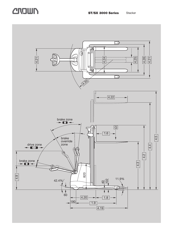

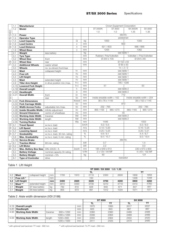**ST/SX 3000 Series** Specifications

|                     | 1.1        | Manufacturer                             |                              |                      |                        |                              |                                     | Crown Equipment Corporation  |                          |  |  |  |  |  |
|---------------------|------------|------------------------------------------|------------------------------|----------------------|------------------------|------------------------------|-------------------------------------|------------------------------|--------------------------|--|--|--|--|--|
|                     | 1.2        | <b>Model</b>                             |                              |                      |                        | <b>ST 3000N</b>              | ST 3000                             | <b>SX 3000N</b>              | SX 3000                  |  |  |  |  |  |
|                     |            |                                          |                              |                      |                        | 1.0                          | 1.0                                 | 1.35                         | 1.35                     |  |  |  |  |  |
|                     | 1.3        | Power                                    |                              |                      |                        | electric                     |                                     |                              |                          |  |  |  |  |  |
|                     | 1.4        | <b>Operator Type</b>                     |                              |                      |                        |                              | pedestrian                          |                              |                          |  |  |  |  |  |
| General Information | 1.5        | <b>Load Capacity</b>                     |                              | Q                    | kg                     |                              | 1000                                | 1350                         |                          |  |  |  |  |  |
|                     | 1.6        | <b>Load Centre</b>                       |                              | $\mathbf C$          | mm                     |                              | 600                                 |                              |                          |  |  |  |  |  |
|                     | 1.8        | <b>Load Distance</b>                     |                              | X                    | mm                     |                              | 621/603                             | 686 / 666                    |                          |  |  |  |  |  |
|                     | 1.9        | <b>Wheel Base</b>                        |                              | У                    | mm                     |                              | 1255                                | 1362                         |                          |  |  |  |  |  |
|                     | 2.1        | Weight                                   | less battery                 |                      | kg                     |                              | see table 1                         |                              |                          |  |  |  |  |  |
|                     | 3.1        | <b>Tyre Type</b>                         |                              |                      | mm                     |                              | Rubber+ Poly/Vulkollan              | Vulkollan + Poly/Vulkollan   |                          |  |  |  |  |  |
|                     | 3.2        | <b>Wheel Size</b>                        | front                        |                      | mm                     |                              | Ø 254 x 100                         | Ø 254 x 85                   |                          |  |  |  |  |  |
| Tyres               | 3.3        | <b>Wheel Size</b>                        | rear                         |                      | mm                     |                              | Ø 102 x 50                          |                              |                          |  |  |  |  |  |
|                     | 3.4        | <b>Additional Wheels</b>                 | castor wheel                 |                      | mm                     |                              | $\overline{\emptyset 90 \times 50}$ |                              |                          |  |  |  |  |  |
|                     | 3.5        | <b>Wheels</b>                            | no. (x=driven) front/rear    |                      |                        |                              | $1x + 2/2$                          |                              |                          |  |  |  |  |  |
|                     | 4.2        | <b>Mast</b>                              | collapsed height             | h1<br>h <sub>2</sub> | mm<br>mm               |                              | see table 1<br>see table 1          |                              |                          |  |  |  |  |  |
|                     | 4.3<br>4.4 | <b>Free Lift</b><br><b>Lift Height</b>   |                              | hз                   | mm                     |                              | see table 1                         |                              |                          |  |  |  |  |  |
|                     | 4.5        | <b>Mast</b>                              | extended height              | h <sub>4</sub>       | mm                     |                              |                                     |                              |                          |  |  |  |  |  |
|                     | 4.9        | <b>Tiller Arm Height</b>                 | in drive position min./max.  | h14                  | mm                     |                              | see table 1<br>790 / 1206           |                              |                          |  |  |  |  |  |
|                     | 4.15       | <b>Lowered Fork Height</b>               |                              | h <sub>13</sub>      | mm                     | 51                           |                                     | 50                           |                          |  |  |  |  |  |
|                     | 4.19       | <b>Overall Length</b>                    |                              | 1                    | mm                     |                              | see table 2                         |                              |                          |  |  |  |  |  |
|                     | 4.20       | Headlength                               |                              |                      |                        |                              | see table 2                         |                              |                          |  |  |  |  |  |
| <b>Dimensions</b>   | 4.21       | <b>Overall Width</b>                     | front                        | b <sub>1</sub>       | mm                     |                              | 712                                 |                              |                          |  |  |  |  |  |
|                     |            |                                          | rear                         | b <sub>2</sub>       | mm                     | inside straddle width $+152$ |                                     | inside straddle width $+204$ |                          |  |  |  |  |  |
|                     | 4.22       | <b>Fork Dimensions</b>                   |                              | thxwxl               | mm                     | 38 x 76 x 1145               |                                     |                              | 38 x 102 x 1145          |  |  |  |  |  |
|                     | 4.24       | <b>Fork Carriage Width</b>               |                              | bз                   | mm                     |                              | 810                                 |                              |                          |  |  |  |  |  |
|                     | 4.25       | <b>Width Across Forks</b>                | adjustable min./max.         | b <sub>5</sub>       | mm                     | 232 - 765                    |                                     | 252 - 785                    |                          |  |  |  |  |  |
|                     | 4.26       | <b>Inside Straddle Width</b>             | infinite adjustment          | b <sub>4</sub>       | mm                     | 865-1165                     | 965-1270                            | 865-1165                     | 965-1270                 |  |  |  |  |  |
|                     | 4.32       | <b>Ground Clearance</b>                  | centre of wheelbase          | m <sub>2</sub>       | mm                     |                              | 40                                  |                              |                          |  |  |  |  |  |
|                     | 4.33       | <b>Working Aisle Width</b>               | traverse                     | Ast                  | mm                     |                              | see table 2                         |                              |                          |  |  |  |  |  |
|                     | 4.34       | <b>Working Aisle Width</b>               | length                       | Ast                  | mm                     |                              | see table 2                         |                              |                          |  |  |  |  |  |
|                     | 4.35       | <b>Turning Radius</b>                    |                              | Wa                   | mm                     | 1446                         |                                     |                              | 1553                     |  |  |  |  |  |
| Performance         | 5.1        | <b>Travel Speed</b>                      | w./w.o. load                 |                      | km/h                   | 5.0 / 5.5                    |                                     | 5.5/6.0                      |                          |  |  |  |  |  |
|                     | 5.2        | <b>Lift Speed</b>                        | w./w.o. load                 |                      | m/s<br>m/s             | 0.13 / 0.20<br>0.25 / 0.25   |                                     |                              | 0.16 / 0.25<br>0.26/0.21 |  |  |  |  |  |
|                     | 5.3        | <b>Lowering Speed</b>                    | w./w.o. load                 |                      | $\frac{9}{6}$          | 4.9 / 9.1                    |                                     |                              | 4.4 / 8.7                |  |  |  |  |  |
|                     | 5.7<br>5.8 | Gradeability<br><b>Max. Gradeability</b> | w./w.o. load, 30 min. rating |                      | %                      | 8.4 / 15.7                   |                                     |                              | 9.5 / 19.4               |  |  |  |  |  |
|                     | 5.10       | <b>Service Brake</b>                     | w./w.o. load, 5 min. rating  |                      |                        |                              | electric                            |                              |                          |  |  |  |  |  |
|                     | 6.1        | <b>Traction Motor</b>                    | 60 min. rating               |                      | $\overline{\text{kW}}$ | 0.7                          |                                     | 1.4                          |                          |  |  |  |  |  |
|                     | 6.2        | <b>Lift Motor</b>                        |                              |                      | kW                     | 2.2                          |                                     |                              | 3.0                      |  |  |  |  |  |
| Motors              | 6.3        | Max. Battery Box Size                    | DIN 43535 / A                | Ixwxh                | mm                     | 185 x 649 x 613              |                                     | $230 \times 670 \times 600$  |                          |  |  |  |  |  |
|                     | 6.4        | <b>Battery Voltage</b>                   | nominal capacity 5h rating   |                      | V/Ah                   | 2 x 12V / 94 MF              |                                     |                              | 4 x 6V / 192 MF          |  |  |  |  |  |
|                     | 6.5        | <b>Battery Weight</b>                    | nominal $+5%$                |                      | kg                     | 60                           |                                     | 121                          |                          |  |  |  |  |  |
|                     | 8.1        | <b>Type of Controller</b>                | drive                        |                      |                        |                              | transistor                          |                              |                          |  |  |  |  |  |

### Table 1 Lift Height

|     |             |                  |    | ST 3000 / SX 3000 1.0 / 1.35 |      |      |      |      |      |      |  |  |
|-----|-------------|------------------|----|------------------------------|------|------|------|------|------|------|--|--|
|     |             |                  |    |                              |      |      |      |      |      |      |  |  |
| 4.2 | Mast        | collapsed height | mm | 1700                         | 1910 | 2110 | 2350 | 2600 | 1858 | 1858 |  |  |
| 4.3 | Free Lift * |                  | mm |                              |      | 1348 | 1348 |      |      |      |  |  |
| 4.4 | Lift Height |                  | mm | 2400                         | 2820 | 3220 | 3700 | 4200 | 3900 | 4250 |  |  |
| 4.5 | Mast **     | extended height  | mm | 2910                         | 3330 | 3730 | 4210 | 4710 | 4410 | 4760 |  |  |
| 2.1 | Weight      | ST less battery  | kg | 792                          | 810  | 828  | 849  | 871  | 847  | 847  |  |  |
| 2.1 | Weight      | SX less battery  | kg | 955                          | 973  | 991  | 1012 | 1034 | 1071 | 1071 |  |  |

## Table 2 Aisle width dimension (VDI 2198)

|      |                            |          |             |    | <b>ST 3000</b> | <b>SX 3000</b> |      |      |
|------|----------------------------|----------|-------------|----|----------------|----------------|------|------|
|      |                            |          |             |    | ΤL             | тт             |      |      |
| 4.19 | <b>Overall Length</b>      |          |             | mm | 1975           | 1993           | 2017 | 2037 |
| 4.20 | Headlength                 |          |             | mm | 825            | 843            | 867  | 887  |
| 4.33 | <b>Working Aisle Width</b> | traverse | 800 x 1200  | mm | 2360           | 2360           | 2489 | 2489 |
|      |                            |          | 1000 x 1200 | mm | 2356           | 2364           | 2489 | 2489 |
| 4.34 | <b>Working Aisle Width</b> | length   | 1200 x 800  | mm | 2350           | 2364           | 2404 | 2420 |
|      |                            |          | 1200 x 1000 | mm | 2411           | 2425           | 2470 | 2485 |

\* with optional load backrest: TT mast - 692 mm \*\* with optional load backrest: TL/TT mast + 692 mm